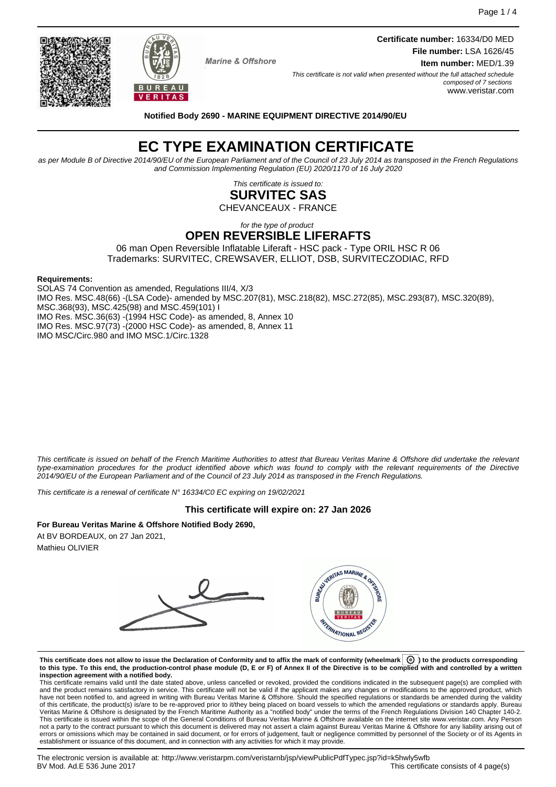Page 1 / 4



BUREAU **VERITAS**  **Certificate number:** 16334/D0 MED **File number:** LSA 1626/45 **Item number:** MED/1.39

This certificate is not valid when presented without the full attached schedule composed of 7 sections www.veristar.com

**Notified Body 2690 - MARINE EQUIPMENT DIRECTIVE 2014/90/EU**

# **EC TYPE EXAMINATION CERTIFICATE**

as per Module B of Directive 2014/90/EU of the European Parliament and of the Council of 23 July 2014 as transposed in the French Regulations and Commission Implementing Regulation (EU) 2020/1170 of 16 July 2020

> This certificate is issued to: **SURVITEC SAS**

CHEVANCEAUX - FRANCE

for the type of product **OPEN REVERSIBLE LIFERAFTS**

06 man Open Reversible Inflatable Liferaft - HSC pack - Type ORIL HSC R 06 Trademarks: SURVITEC, CREWSAVER, ELLIOT, DSB, SURVITECZODIAC, RFD

#### **Requirements:**

SOLAS 74 Convention as amended, Regulations III/4, X/3 IMO Res. MSC.48(66) -(LSA Code)- amended by MSC.207(81), MSC.218(82), MSC.272(85), MSC.293(87), MSC.320(89), MSC.368(93), MSC.425(98) and MSC.459(101) I IMO Res. MSC.36(63) -(1994 HSC Code)- as amended, 8, Annex 10 IMO Res. MSC.97(73) -(2000 HSC Code)- as amended, 8, Annex 11 IMO MSC/Circ.980 and IMO MSC.1/Circ.1328

This certificate is issued on behalf of the French Maritime Authorities to attest that Bureau Veritas Marine & Offshore did undertake the relevant type-examination procedures for the product identified above which was found to comply with the relevant requirements of the Directive 2014/90/EU of the European Parliament and of the Council of 23 July 2014 as transposed in the French Regulations.

This certificate is a renewal of certificate N° 16334/C0 EC expiring on 19/02/2021

# **This certificate will expire on: 27 Jan 2026**

# **For Bureau Veritas Marine & Offshore Notified Body 2690,**

At BV BORDEAUX, on 27 Jan 2021, Mathieu OLIVIER



**This certificate does not allow to issue the Declaration of Conformity and to affix the mark of conformity (wheelmark ) to the products corresponding to this type. To this end, the production-control phase module (D, E or F) of Annex II of the Directive is to be complied with and controlled by a written**

**inspection agreement with a notified body.**<br>This certificate remains valid until the date stated above, unless cancelled or revoked, provided the conditions indicated in the subsequent page(s) are complied with and the product remains satisfactory in service. This certificate will not be valid if the applicant makes any changes or modifications to the approved product, which have not been notified to, and agreed in writing with Bureau Veritas Marine & Offshore. Should the specified regulations or standards be amended during the validity of this certificate, the product(s) is/are to be re-approved prior to it/they being placed on board vessels to which the amended regulations or standards apply. Bureau<br>Veritas Marine & Offshore is designated by the French This certificate is issued within the scope of the General Conditions of Bureau Veritas Marine & Offshore available on the internet site www.veristar.com. Any Person not a party to the contract pursuant to which this document is delivered may not assert a claim against Bureau Veritas Marine & Offshore for any liability arising out of errors or omissions which may be contained in said document, or for errors of judgement, fault or negligence committed by personnel of the Society or of its Agents in establishment or issuance of this document, and in connection with any activities for which it may provide.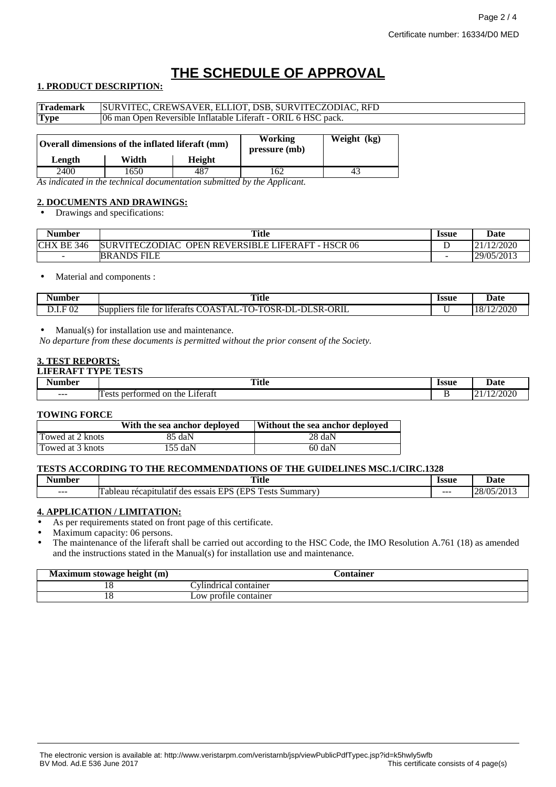# **THE SCHEDULE OF APPROVAL**

# **1. PRODUCT DESCRIPTION:**

| <b>Trademark</b> | SURVITEC, CREWSAVER, ELLIOT, DSB, SURVITECZODIAC, RFD         |        |                                 |             |
|------------------|---------------------------------------------------------------|--------|---------------------------------|-------------|
| <b>Type</b>      | 06 man Open Reversible Inflatable Liferaft - ORIL 6 HSC pack. |        |                                 |             |
|                  | Overall dimensions of the inflated liferaft (mm)              |        | <b>Working</b><br>pressure (mb) | Weight (kg) |
| Length           | Width                                                         | Height |                                 |             |
| 2400             | 1650.                                                         | 487    | 162                             | 43          |

*As indicated in the technical documentation submitted by the Applicant.*

### **2. DOCUMENTS AND DRAWINGS:**

• Drawings and specifications:

| Number     | <b>Title</b>                                                          | <b>Issue</b>             | Date       |
|------------|-----------------------------------------------------------------------|--------------------------|------------|
| CHX BE 346 | HSCR 06<br><b>OPEN REVERSIBLE LIFERAFT - 1</b><br>URVITECZODIAC<br>КI |                          | /12/2020   |
| -          | ANDS FILE!<br>BR.                                                     | $\overline{\phantom{a}}$ | 29/05/2013 |

• Material and components :

| Number                                                 | <b>Title</b>                                                                                                                                                                                                          | <b>Issue</b> | <b>Date</b>                    |
|--------------------------------------------------------|-----------------------------------------------------------------------------------------------------------------------------------------------------------------------------------------------------------------------|--------------|--------------------------------|
|                                                        | $\sim$ $\sim$                                                                                                                                                                                                         |              | .                              |
| $\mathbf r$<br>02<br>$\overline{\phantom{0}}$<br>レ・エ・エ | ORIL<br>T <sub>0</sub><br>$\sim$<br>$\sim$<br>$\sim$ $\sim$<br>$\sim$<br>$\sim$<br>וני<br>١ı<br>tor<br>Suppliers<br>liferafts<br>tile.<br>$\mathbf{A}$ :<br>…∧K-⊑<br>SR-1<br>$\cdots$<br>- 1<br>. .<br>11.<br><br>. . |              | n noon<br>$\sim$ 4/2020<br>1 U |

• Manual(s) for installation use and maintenance.

*No departure from these documents is permitted without the prior consent of the Society.*

# **3. TEST REPORTS:**

#### **LIFERAFT TYPE TESTS**

| - -<br>an hor<br>۹u | <b>Title</b><br>$\sim$ $\sim$                          | <b>Issue</b><br>. | 1ote<br>Date                      |
|---------------------|--------------------------------------------------------|-------------------|-----------------------------------|
| $- - -$             | $\sim$<br>.1terat<br>ormec<br>$\alpha$<br>the.<br>neri | -                 | 2000<br>. .<br>, , , , , ,<br>. . |

#### **TOWING FORCE**

|                  | With the sea anchor deployed | Without the sea anchor deployed |
|------------------|------------------------------|---------------------------------|
| Towed at 2 knots | 85 daN                       | 28 daN                          |
| Towed at 3 knots | $155$ daN                    | $60 \text{ daN}$                |

#### **TESTS ACCORDING TO THE RECOMMENDATIONS OF THE GUIDELINES MSC.1/CIRC.1328**

| $\overline{\phantom{a}}$<br>Number | Title                                                                                                         | <i><u><b>Issue</b></u></i> | Date                                                     |
|------------------------------------|---------------------------------------------------------------------------------------------------------------|----------------------------|----------------------------------------------------------|
| $- - -$                            | TDC.<br>$\overline{a}$<br><b>TPS</b><br>.11atıt<br>Summar<br>recapiti<br>des<br>essais<br>'i adleau<br>.<br>ັ | ---                        | /05/2013<br>$\cap$<br>$\sim$<br>$\overline{\phantom{a}}$ |

#### **4. APPLICATION / LIMITATION:**

As per requirements stated on front page of this certificate.

Maximum capacity: 06 persons.

• The maintenance of the liferaft shall be carried out according to the HSC Code, the IMO Resolution A.761 (18) as amended and the instructions stated in the Manual(s) for installation use and maintenance.

| Maximum stowage height (m) |                       | ntainer |  |
|----------------------------|-----------------------|---------|--|
|                            | Vlindrical container  |         |  |
| 1 C                        | Low profile container |         |  |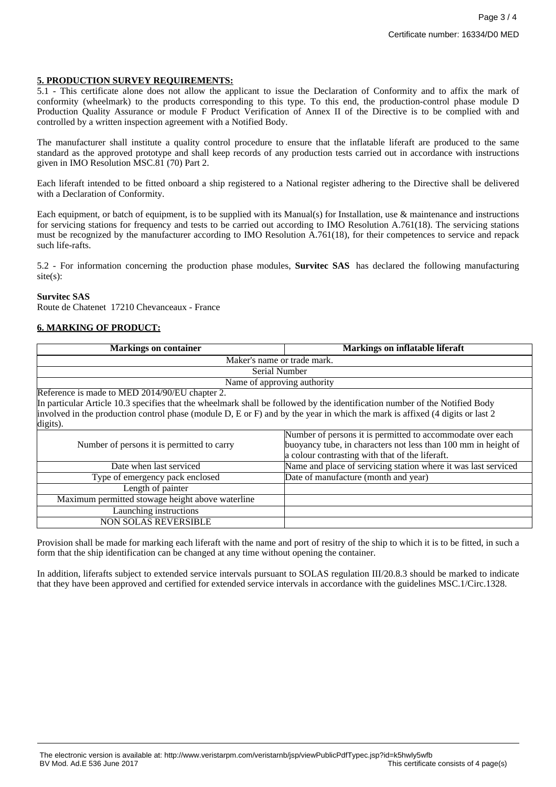#### **5. PRODUCTION SURVEY REQUIREMENTS:**

5.1 - This certificate alone does not allow the applicant to issue the Declaration of Conformity and to affix the mark of conformity (wheelmark) to the products corresponding to this type. To this end, the production-control phase module D Production Quality Assurance or module F Product Verification of Annex II of the Directive is to be complied with and controlled by a written inspection agreement with a Notified Body.

The manufacturer shall institute a quality control procedure to ensure that the inflatable liferaft are produced to the same standard as the approved prototype and shall keep records of any production tests carried out in accordance with instructions given in IMO Resolution MSC.81 (70) Part 2.

Each liferaft intended to be fitted onboard a ship registered to a National register adhering to the Directive shall be delivered with a Declaration of Conformity.

Each equipment, or batch of equipment, is to be supplied with its Manual(s) for Installation, use & maintenance and instructions for servicing stations for frequency and tests to be carried out according to IMO Resolution A.761(18). The servicing stations must be recognized by the manufacturer according to IMO Resolution A.761(18), for their competences to service and repack such life-rafts.

5.2 - For information concerning the production phase modules, **Survitec SAS** has declared the following manufacturing site(s):

#### **Survitec SAS**

Route de Chatenet 17210 Chevanceaux - France

# **6. MARKING OF PRODUCT:**

| <b>Markings on container</b>                                                                                                 | <b>Markings on inflatable liferaft</b>                         |  |  |
|------------------------------------------------------------------------------------------------------------------------------|----------------------------------------------------------------|--|--|
| Maker's name or trade mark.                                                                                                  |                                                                |  |  |
| Serial Number                                                                                                                |                                                                |  |  |
| Name of approving authority                                                                                                  |                                                                |  |  |
| Reference is made to MED 2014/90/EU chapter 2.                                                                               |                                                                |  |  |
| In particular Article 10.3 specifies that the wheelmark shall be followed by the identification number of the Notified Body  |                                                                |  |  |
| involved in the production control phase (module D, E or F) and by the year in which the mark is affixed (4 digits or last 2 |                                                                |  |  |
| digits).                                                                                                                     |                                                                |  |  |
|                                                                                                                              | Number of persons it is permitted to accommodate over each     |  |  |
| Number of persons it is permitted to carry                                                                                   | buoyancy tube, in characters not less than 100 mm in height of |  |  |
|                                                                                                                              | a colour contrasting with that of the liferaft.                |  |  |
| Date when last serviced                                                                                                      | Name and place of servicing station where it was last serviced |  |  |
| Type of emergency pack enclosed                                                                                              | Date of manufacture (month and year)                           |  |  |
| Length of painter                                                                                                            |                                                                |  |  |
| Maximum permitted stowage height above waterline                                                                             |                                                                |  |  |
| Launching instructions                                                                                                       |                                                                |  |  |
| <b>NON SOLAS REVERSIBLE</b>                                                                                                  |                                                                |  |  |

Provision shall be made for marking each liferaft with the name and port of resitry of the ship to which it is to be fitted, in such a form that the ship identification can be changed at any time without opening the container.

In addition, liferafts subject to extended service intervals pursuant to SOLAS regulation III/20.8.3 should be marked to indicate that they have been approved and certified for extended service intervals in accordance with the guidelines MSC.1/Circ.1328.